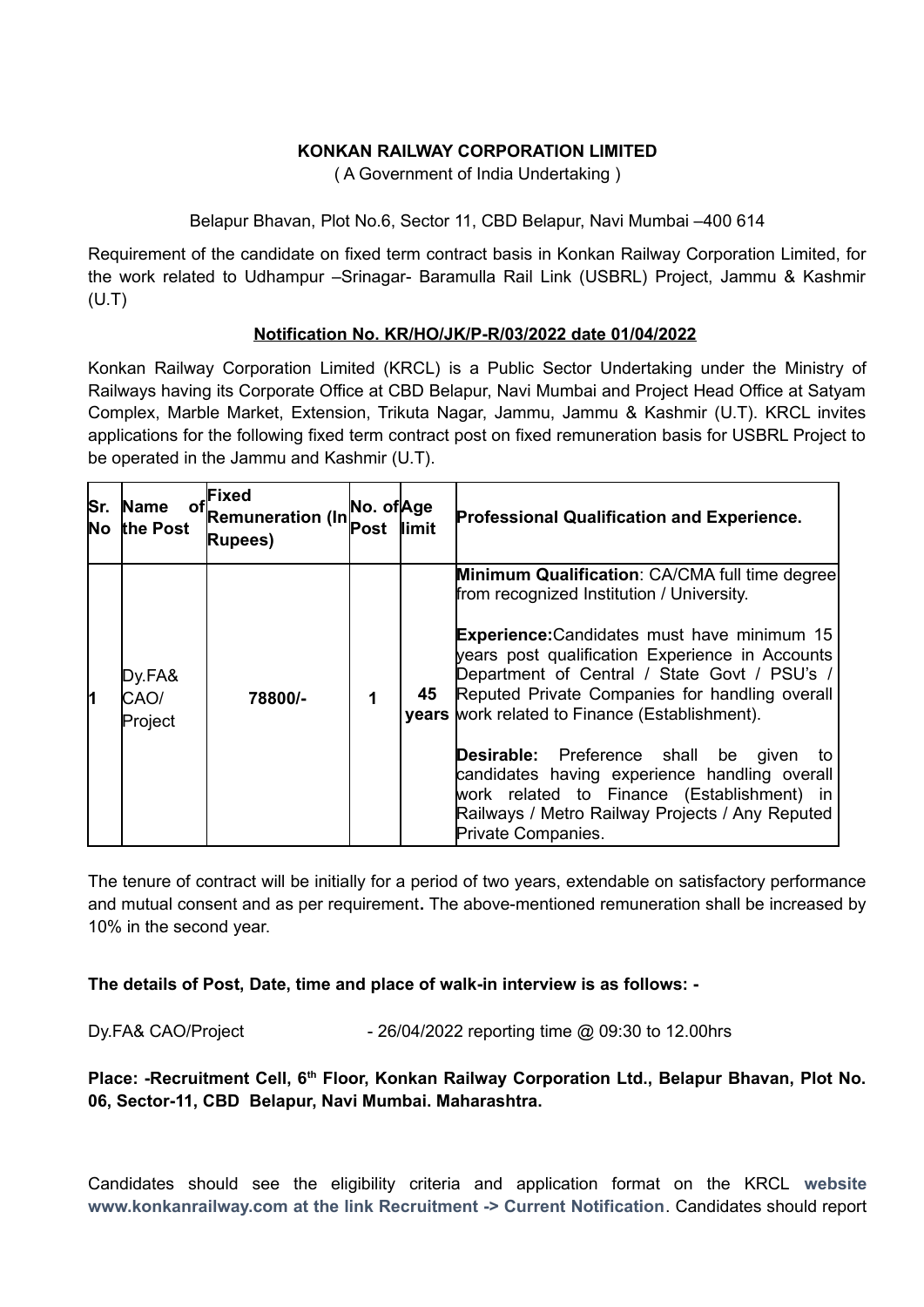## **KONKAN RAILWAY CORPORATION LIMITED**

( A Government of India Undertaking )

Belapur Bhavan, Plot No.6, Sector 11, CBD Belapur, Navi Mumbai –400 614

Requirement of the candidate on fixed term contract basis in Konkan Railway Corporation Limited, for the work related to Udhampur –Srinagar- Baramulla Rail Link (USBRL) Project, Jammu & Kashmir (U.T)

# **Notification No. KR/HO/JK/P-R/03/2022 date 01/04/2022**

Konkan Railway Corporation Limited (KRCL) is a Public Sector Undertaking under the Ministry of Railways having its Corporate Office at CBD Belapur, Navi Mumbai and Project Head Office at Satyam Complex, Marble Market, Extension, Trikuta Nagar, Jammu, Jammu & Kashmir (U.T). KRCL invites applications for the following fixed term contract post on fixed remuneration basis for USBRL Project to be operated in the Jammu and Kashmir (U.T).

| Sr.<br><b>No</b> | Name<br>the Post          | Fixed<br><b>Remuneration (In</b><br><b>Rupees</b> ) | No. of Age<br>Post | limit | <b>Professional Qualification and Experience.</b>                                                                                                                                                                                                                                                                                                                                                                                                                                                                                                                                               |
|------------------|---------------------------|-----------------------------------------------------|--------------------|-------|-------------------------------------------------------------------------------------------------------------------------------------------------------------------------------------------------------------------------------------------------------------------------------------------------------------------------------------------------------------------------------------------------------------------------------------------------------------------------------------------------------------------------------------------------------------------------------------------------|
| ł1               | Dy.FA&<br>CAO/<br>Project | 78800/-                                             | 1                  | 45    | <b>Minimum Qualification: CA/CMA full time degree</b><br>from recognized Institution / University.<br><b>Experience:</b> Candidates must have minimum 15<br>years post qualification Experience in Accounts<br>Department of Central / State Govt / PSU's /<br>Reputed Private Companies for handling overall<br>years work related to Finance (Establishment).<br><b>Desirable:</b> Preference shall be<br>given<br>to<br>candidates having experience handling overall<br>work related to Finance (Establishment) in<br>Railways / Metro Railway Projects / Any Reputed<br>Private Companies. |

The tenure of contract will be initially for a period of two years, extendable on satisfactory performance and mutual consent and as per requirement**.** The above-mentioned remuneration shall be increased by 10% in the second year.

**The details of Post, Date, time and place of walk-in interview is as follows: -**

Dy.FA& CAO/Project - 26/04/2022 reporting time @ 09:30 to 12.00hrs

**Place: -Recruitment Cell, 6th Floor, Konkan Railway Corporation Ltd., Belapur Bhavan, Plot No. 06, Sector-11, CBD Belapur, Navi Mumbai. Maharashtra.**

Candidates should see the eligibility criteria and application format on the KRCL **website www.konkanrailway.com at the link Recruitment -> Current Notification**. Candidates should report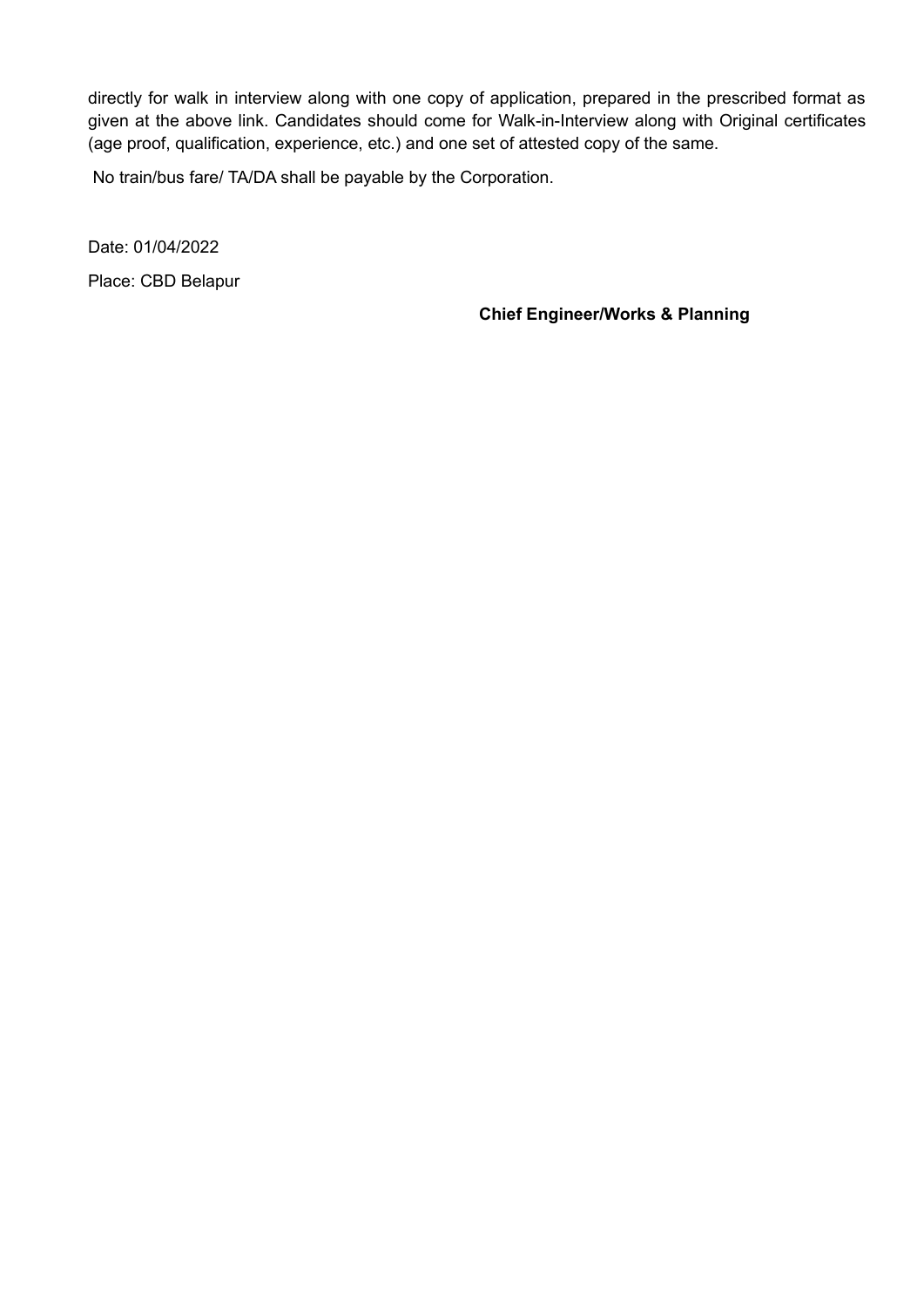directly for walk in interview along with one copy of application, prepared in the prescribed format as given at the above link. Candidates should come for Walk-in-Interview along with Original certificates (age proof, qualification, experience, etc.) and one set of attested copy of the same.

No train/bus fare/ TA/DA shall be payable by the Corporation.

Date: 01/04/2022 Place: CBD Belapur

**Chief Engineer/Works & Planning**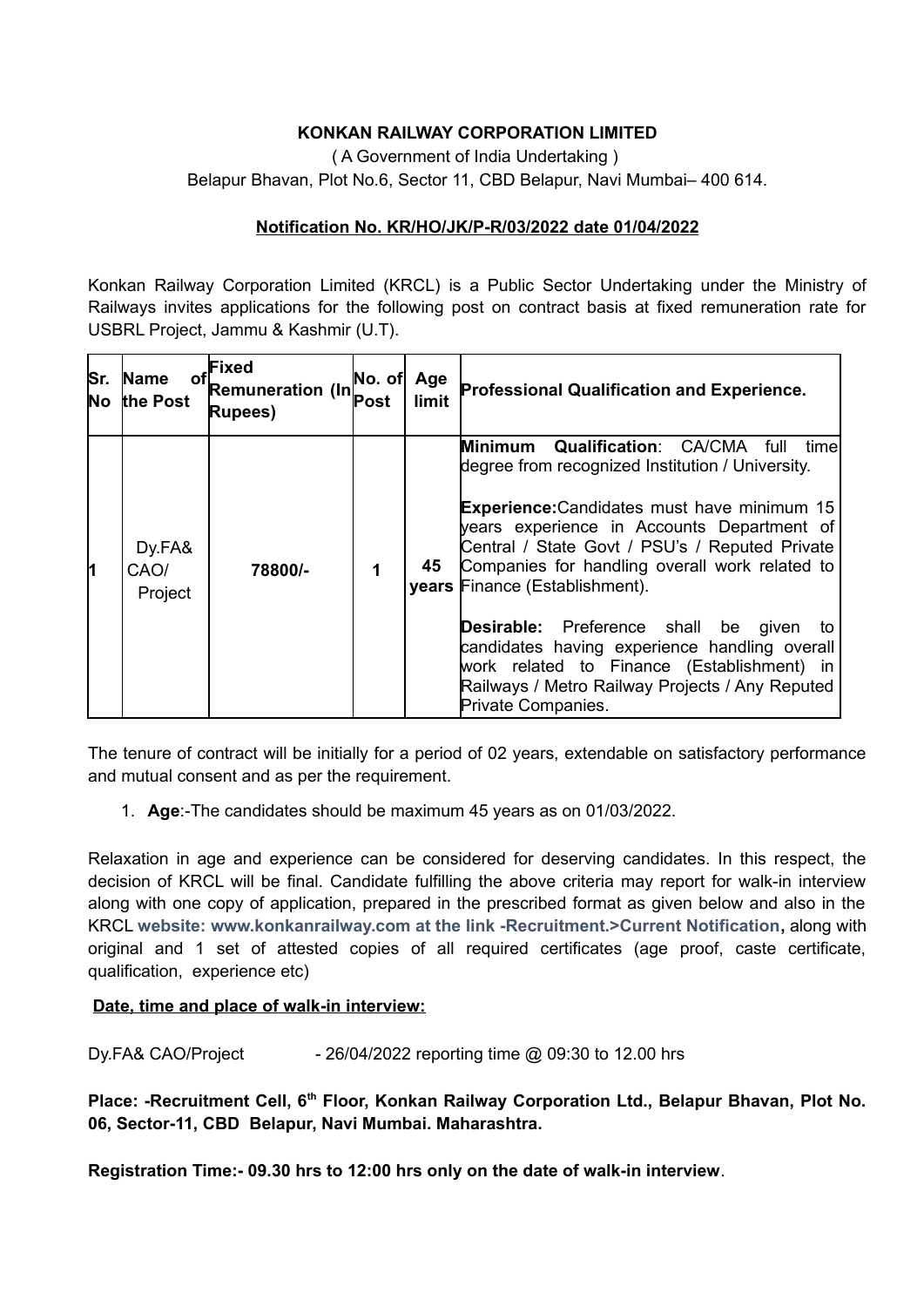# **KONKAN RAILWAY CORPORATION LIMITED**

( A Government of India Undertaking )

Belapur Bhavan, Plot No.6, Sector 11, CBD Belapur, Navi Mumbai– 400 614.

### **Notification No. KR/HO/JK/P-R/03/2022 date 01/04/2022**

Konkan Railway Corporation Limited (KRCL) is a Public Sector Undertaking under the Ministry of Railways invites applications for the following post on contract basis at fixed remuneration rate for USBRL Project, Jammu & Kashmir (U.T).

| Sr.<br>No | <b>Name</b><br>οf<br>the Post | Fixed<br><b>Remuneration (In</b><br>Rupees) | No. of Age<br>Post | limit | Professional Qualification and Experience.                                                                                                                                                                                                                                                                                                                                                                                                                                                                                                                                          |
|-----------|-------------------------------|---------------------------------------------|--------------------|-------|-------------------------------------------------------------------------------------------------------------------------------------------------------------------------------------------------------------------------------------------------------------------------------------------------------------------------------------------------------------------------------------------------------------------------------------------------------------------------------------------------------------------------------------------------------------------------------------|
| h         | Dy.FA&<br>CAO/<br>Project     | 78800/-                                     | 1                  | 45    | <b>Qualification: CA/CMA</b><br>Minimum<br>full<br>timel<br>degree from recognized Institution / University.<br><b>Experience:</b> Candidates must have minimum 15<br>years experience in Accounts Department of<br>Central / State Govt / PSU's / Reputed Private<br>Companies for handling overall work related to<br>years Finance (Establishment).<br><b>Desirable:</b> Preference shall be given<br>to<br>candidates having experience handling overall<br>work related to Finance (Establishment) in<br>Railways / Metro Railway Projects / Any Reputed<br>Private Companies. |

The tenure of contract will be initially for a period of 02 years, extendable on satisfactory performance and mutual consent and as per the requirement.

1. **Age**:-The candidates should be maximum 45 years as on 01/03/2022.

Relaxation in age and experience can be considered for deserving candidates. In this respect, the decision of KRCL will be final. Candidate fulfilling the above criteria may report for walk-in interview along with one copy of application, prepared in the prescribed format as given below and also in the KRCL **website: www.konkanrailway.com at the link -Recruitment.>Current Notification,** along with original and 1 set of attested copies of all required certificates (age proof, caste certificate, qualification, experience etc)

#### **Date, time and place of walk-in interview:**

Dy.FA& CAO/Project - 26/04/2022 reporting time @ 09:30 to 12.00 hrs

**Place: -Recruitment Cell, 6th Floor, Konkan Railway Corporation Ltd., Belapur Bhavan, Plot No. 06, Sector-11, CBD Belapur, Navi Mumbai. Maharashtra.**

**Registration Time:- 09.30 hrs to 12:00 hrs only on the date of walk-in interview**.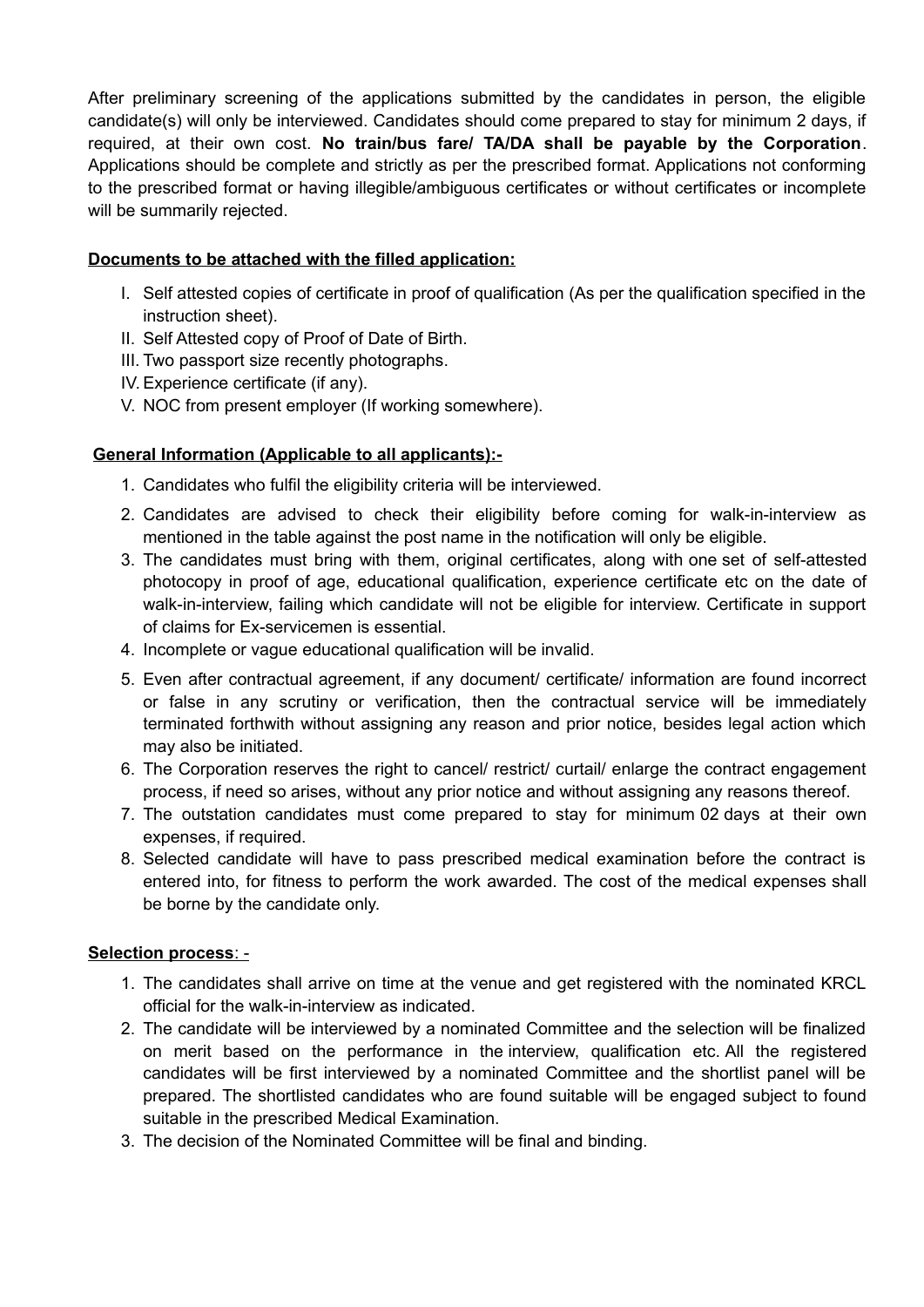After preliminary screening of the applications submitted by the candidates in person, the eligible candidate(s) will only be interviewed. Candidates should come prepared to stay for minimum 2 days, if required, at their own cost. **No train/bus fare/ TA/DA shall be payable by the Corporation**. Applications should be complete and strictly as per the prescribed format. Applications not conforming to the prescribed format or having illegible/ambiguous certificates or without certificates or incomplete will be summarily rejected.

# **Documents to be attached with the filled application:**

- I. Self attested copies of certificate in proof of qualification (As per the qualification specified in the instruction sheet).
- II. Self Attested copy of Proof of Date of Birth.
- III. Two passport size recently photographs.
- IV. Experience certificate (if any).
- V. NOC from present employer (If working somewhere).

# **General Information (Applicable to all applicants):-**

- 1. Candidates who fulfil the eligibility criteria will be interviewed.
- 2. Candidates are advised to check their eligibility before coming for walk-in-interview as mentioned in the table against the post name in the notification will only be eligible.
- 3. The candidates must bring with them, original certificates, along with one set of self-attested photocopy in proof of age, educational qualification, experience certificate etc on the date of walk-in-interview, failing which candidate will not be eligible for interview. Certificate in support of claims for Ex-servicemen is essential.
- 4. Incomplete or vague educational qualification will be invalid.
- 5. Even after contractual agreement, if any document/ certificate/ information are found incorrect or false in any scrutiny or verification, then the contractual service will be immediately terminated forthwith without assigning any reason and prior notice, besides legal action which may also be initiated.
- 6. The Corporation reserves the right to cancel/ restrict/ curtail/ enlarge the contract engagement process, if need so arises, without any prior notice and without assigning any reasons thereof.
- 7. The outstation candidates must come prepared to stay for minimum 02 days at their own expenses, if required.
- 8. Selected candidate will have to pass prescribed medical examination before the contract is entered into, for fitness to perform the work awarded. The cost of the medical expenses shall be borne by the candidate only.

# **Selection process** : -

- 1. The candidates shall arrive on time at the venue and get registered with the nominated KRCL official for the walk-in-interview as indicated.
- 2. The candidate will be interviewed by a nominated Committee and the selection will be finalized on merit based on the performance in the interview, qualification etc. All the registered candidates will be first interviewed by a nominated Committee and the shortlist panel will be prepared. The shortlisted candidates who are found suitable will be engaged subject to found suitable in the prescribed Medical Examination.
- 3. The decision of the Nominated Committee will be final and binding.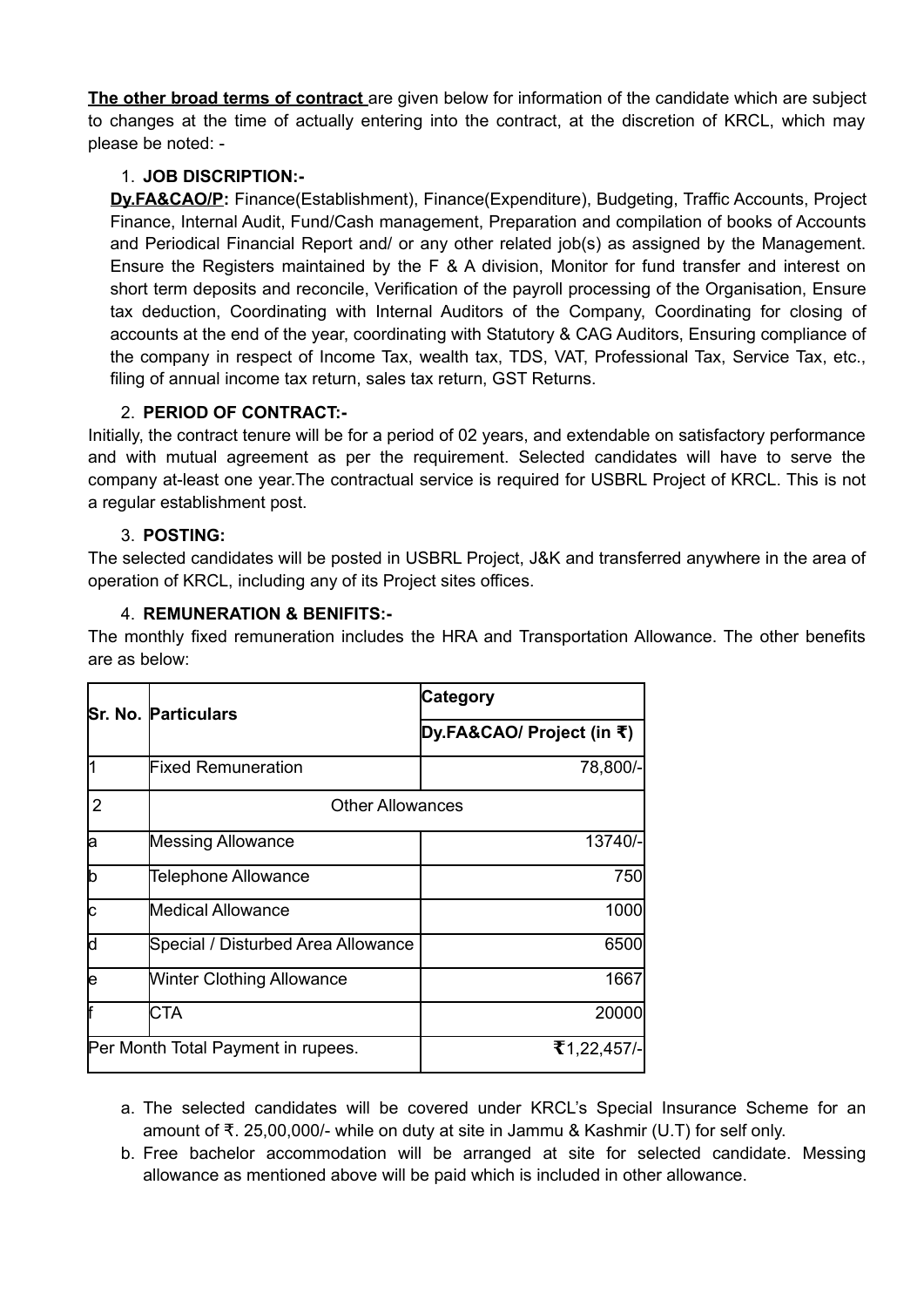**The other broad terms of contract** are given below for information of the candidate which are subject to changes at the time of actually entering into the contract, at the discretion of KRCL, which may please be noted: -

# 1. **JOB DISCRIPTION:-**

**Dy.FA&CAO/P:** Finance(Establishment), Finance(Expenditure), Budgeting, Traffic Accounts, Project Finance, Internal Audit, Fund/Cash management, Preparation and compilation of books of Accounts and Periodical Financial Report and/ or any other related job(s) as assigned by the Management. Ensure the Registers maintained by the F & A division, Monitor for fund transfer and interest on short term deposits and reconcile, Verification of the payroll processing of the Organisation, Ensure tax deduction, Coordinating with Internal Auditors of the Company, Coordinating for closing of accounts at the end of the year, coordinating with Statutory & CAG Auditors, Ensuring compliance of the company in respect of Income Tax, wealth tax, TDS, VAT, Professional Tax, Service Tax, etc., filing of annual income tax return, sales tax return, GST Returns.

# 2. **PERIOD OF CONTRACT:-**

Initially, the contract tenure will be for a period of 02 years, and extendable on satisfactory performance and with mutual agreement as per the requirement. Selected candidates will have to serve the company at-least one year.The contractual service is required for USBRL Project of KRCL. This is not a regular establishment post.

# 3. **POSTING:**

The selected candidates will be posted in USBRL Project, J&K and transferred anywhere in the area of operation of KRCL, including any of its Project sites offices.

# 4. **REMUNERATION & BENIFITS:-**

The monthly fixed remuneration includes the HRA and Transportation Allowance. The other benefits are as below:

|                                    | <b>Sr. No. Particulars</b>         | <b>Category</b><br>Dy.FA&CAO/ Project (in ₹) |  |  |  |  |
|------------------------------------|------------------------------------|----------------------------------------------|--|--|--|--|
|                                    |                                    |                                              |  |  |  |  |
|                                    | <b>Fixed Remuneration</b>          | 78,800/-                                     |  |  |  |  |
| $\overline{2}$                     | <b>Other Allowances</b>            |                                              |  |  |  |  |
| la                                 | <b>Messing Allowance</b>           | 13740/-                                      |  |  |  |  |
| b                                  | Telephone Allowance                | 750                                          |  |  |  |  |
| lc                                 | <b>Medical Allowance</b>           | 1000                                         |  |  |  |  |
| d                                  | Special / Disturbed Area Allowance | 6500                                         |  |  |  |  |
| le                                 | <b>Winter Clothing Allowance</b>   | 1667                                         |  |  |  |  |
| lf                                 | CTA                                | 20000                                        |  |  |  |  |
| Per Month Total Payment in rupees. |                                    | ₹1,22,457/-                                  |  |  |  |  |

a. The selected candidates will be covered under KRCL's Special Insurance Scheme for an amount of  $\bar{\tau}$ , 25,00,000/- while on duty at site in Jammu & Kashmir (U.T) for self only.

b. Free bachelor accommodation will be arranged at site for selected candidate. Messing allowance as mentioned above will be paid which is included in other allowance.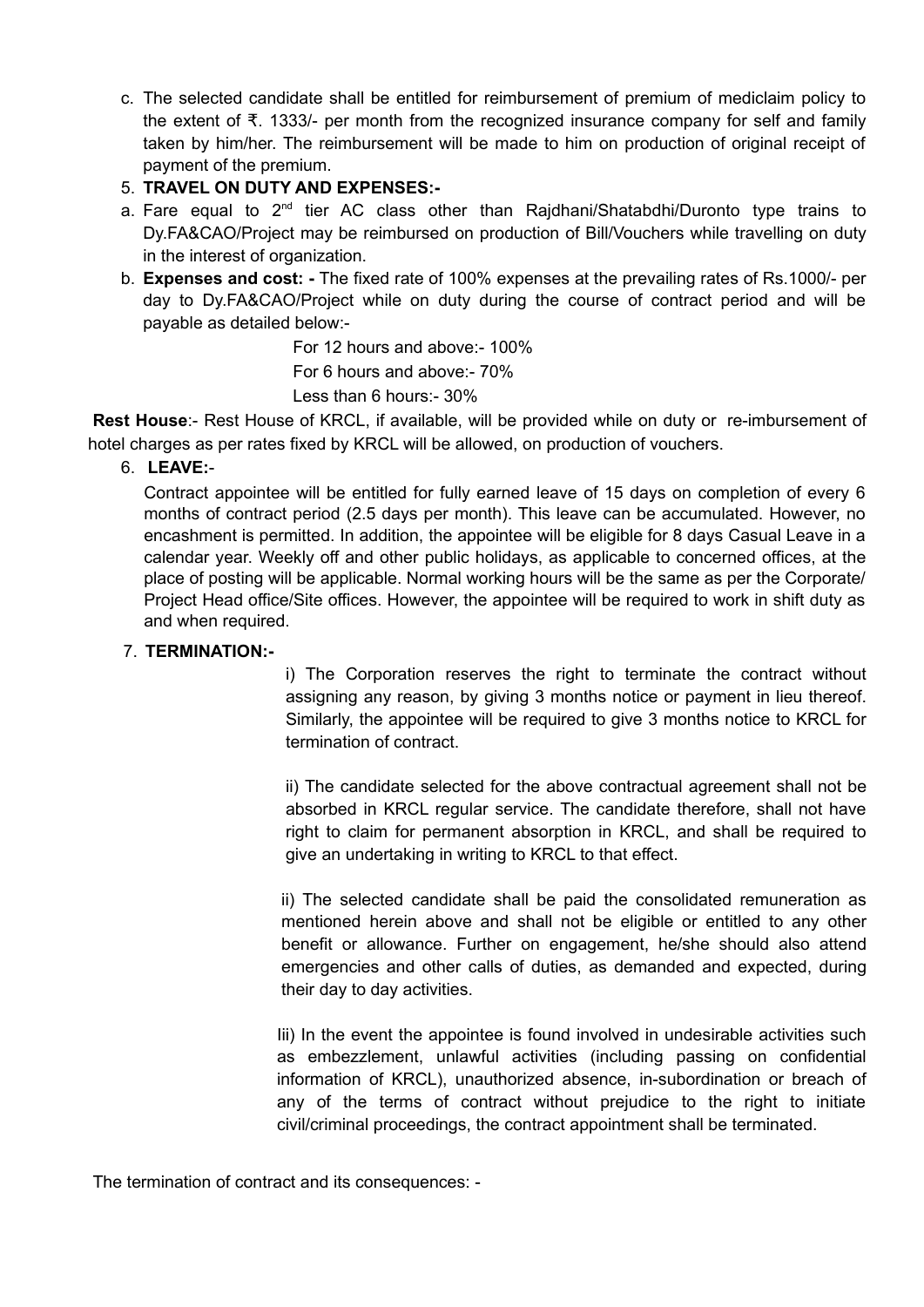c. The selected candidate shall be entitled for reimbursement of premium of mediclaim policy to the extent of  $\bar{\tau}$ . 1333/- per month from the recognized insurance company for self and family taken by him/her. The reimbursement will be made to him on production of original receipt of payment of the premium.

# 5. **TRAVEL ON DUTY AND EXPENSES:-**

- a. Fare equal to  $2<sup>nd</sup>$  tier AC class other than Rajdhani/Shatabdhi/Duronto type trains to Dy.FA&CAO/Project may be reimbursed on production of Bill/Vouchers while travelling on duty in the interest of organization.
- b. **Expenses and cost: -** The fixed rate of 100% expenses at the prevailing rates of Rs.1000/- per day to Dy.FA&CAO/Project while on duty during the course of contract period and will be payable as detailed below:-

For 12 hours and above:- 100%

For 6 hours and above:- 70%

Less than 6 hours:- 30%

**Rest House**:- Rest House of KRCL, if available, will be provided while on duty or re-imbursement of hotel charges as per rates fixed by KRCL will be allowed, on production of vouchers.

# 6. **LEAVE:**-

Contract appointee will be entitled for fully earned leave of 15 days on completion of every 6 months of contract period (2.5 days per month). This leave can be accumulated. However, no encashment is permitted. In addition, the appointee will be eligible for 8 days Casual Leave in a calendar year. Weekly off and other public holidays, as applicable to concerned offices, at the place of posting will be applicable. Normal working hours will be the same as per the Corporate/ Project Head office/Site offices. However, the appointee will be required to work in shift duty as and when required.

## 7. **TERMINATION:-**

i) The Corporation reserves the right to terminate the contract without assigning any reason, by giving 3 months notice or payment in lieu thereof. Similarly, the appointee will be required to give 3 months notice to KRCL for termination of contract.

ii) The candidate selected for the above contractual agreement shall not be absorbed in KRCL regular service. The candidate therefore, shall not have right to claim for permanent absorption in KRCL, and shall be required to give an undertaking in writing to KRCL to that effect.

ii) The selected candidate shall be paid the consolidated remuneration as mentioned herein above and shall not be eligible or entitled to any other benefit or allowance. Further on engagement, he/she should also attend emergencies and other calls of duties, as demanded and expected, during their day to day activities.

Iii) In the event the appointee is found involved in undesirable activities such as embezzlement, unlawful activities (including passing on confidential information of KRCL), unauthorized absence, in-subordination or breach of any of the terms of contract without prejudice to the right to initiate civil/criminal proceedings, the contract appointment shall be terminated.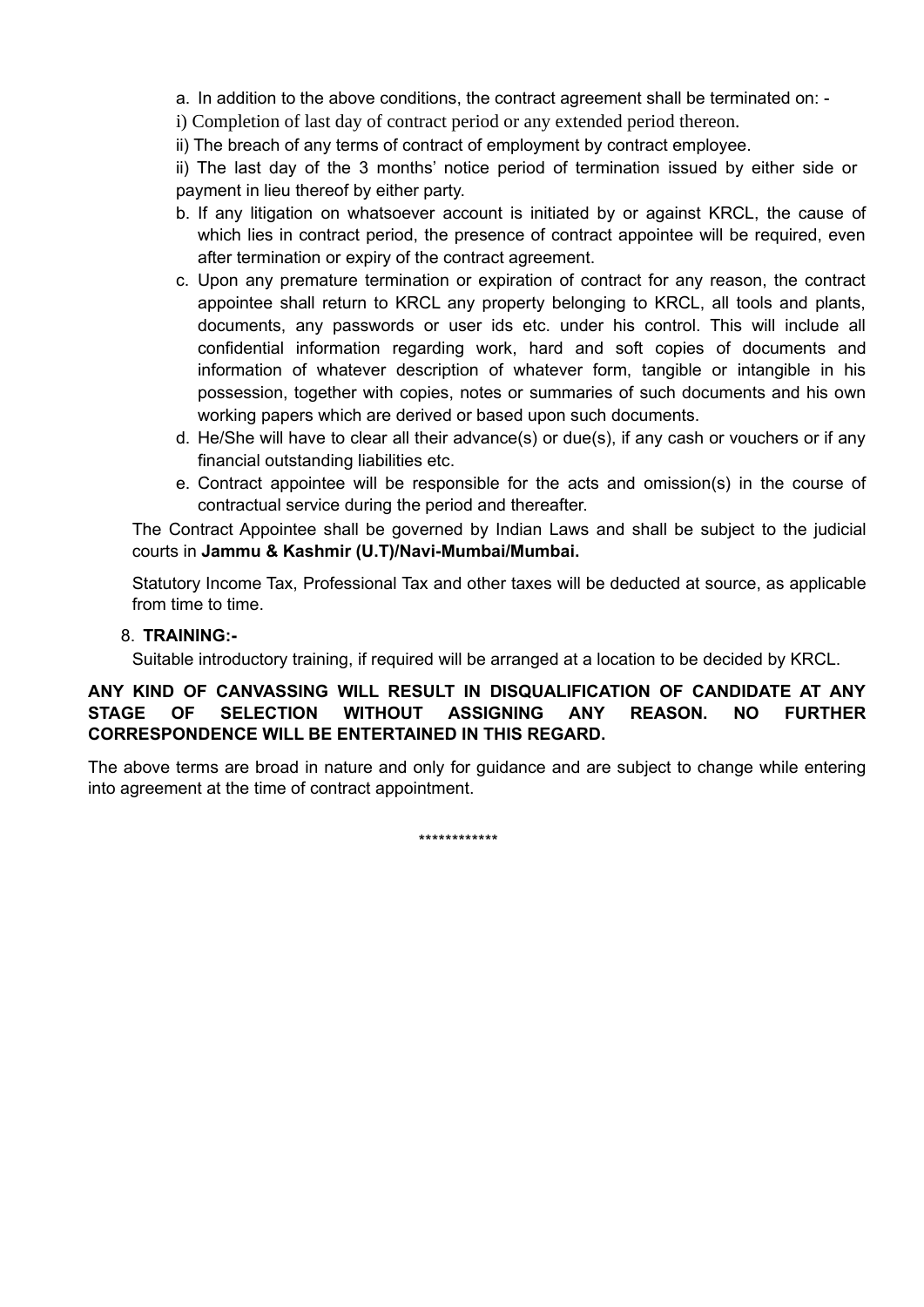a. In addition to the above conditions, the contract agreement shall be terminated on: -

i) Completion of last day of contract period or any extended period thereon.

ii) The breach of any terms of contract of employment by contract employee.

ii) The last day of the 3 months' notice period of termination issued by either side or payment in lieu thereof by either party.

- b. If any litigation on whatsoever account is initiated by or against KRCL, the cause of which lies in contract period, the presence of contract appointee will be required, even after termination or expiry of the contract agreement.
- c. Upon any premature termination or expiration of contract for any reason, the contract appointee shall return to KRCL any property belonging to KRCL, all tools and plants, documents, any passwords or user ids etc. under his control. This will include all confidential information regarding work, hard and soft copies of documents and information of whatever description of whatever form, tangible or intangible in his possession, together with copies, notes or summaries of such documents and his own working papers which are derived or based upon such documents.
- d. He/She will have to clear all their advance(s) or due(s), if any cash or vouchers or if any financial outstanding liabilities etc.
- e. Contract appointee will be responsible for the acts and omission(s) in the course of contractual service during the period and thereafter.

The Contract Appointee shall be governed by Indian Laws and shall be subject to the judicial courts in **Jammu & Kashmir (U.T)/Navi-Mumbai/Mumbai.**

Statutory Income Tax, Professional Tax and other taxes will be deducted at source, as applicable from time to time.

#### 8. **TRAINING:-**

Suitable introductory training, if required will be arranged at a location to be decided by KRCL.

### **ANY KIND OF CANVASSING WILL RESULT IN DISQUALIFICATION OF CANDIDATE AT ANY STAGE OF SELECTION WITHOUT ASSIGNING ANY REASON. NO FURTHER CORRESPONDENCE WILL BE ENTERTAINED IN THIS REGARD.**

The above terms are broad in nature and only for guidance and are subject to change while entering into agreement at the time of contract appointment.

\*\*\*\*\*\*\*\*\*\*\*\*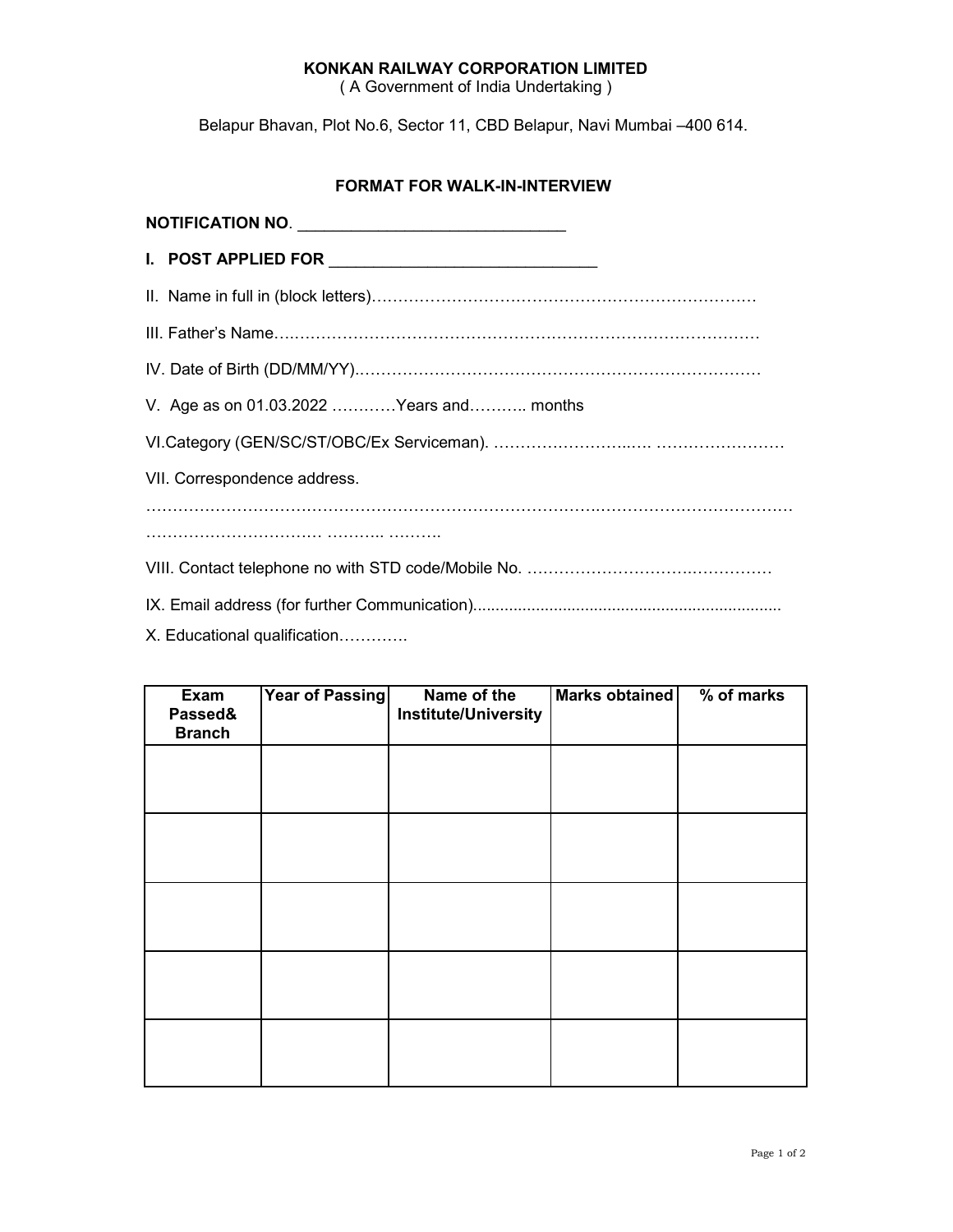#### **KONKAN RAILWAY CORPORATION LIMITED**

( A Government of India Undertaking )

Belapur Bhavan, Plot No.6, Sector 11, CBD Belapur, Navi Mumbai –400 614.

#### **FORMAT FOR WALK-IN-INTERVIEW**

| NOTIFICATION NO.                         |
|------------------------------------------|
| I. POST APPLIED FOR <b>ACCEPTED</b> 1    |
|                                          |
|                                          |
|                                          |
| V. Age as on 01.03.2022 Years and months |
|                                          |
| VII. Correspondence address.             |
|                                          |
|                                          |
|                                          |
| X. Educational qualification             |

| Exam<br>Passed&<br><b>Branch</b> | Year of Passing | Name of the<br><b>Institute/University</b> | Marks obtained | % of marks |
|----------------------------------|-----------------|--------------------------------------------|----------------|------------|
|                                  |                 |                                            |                |            |
|                                  |                 |                                            |                |            |
|                                  |                 |                                            |                |            |
|                                  |                 |                                            |                |            |
|                                  |                 |                                            |                |            |